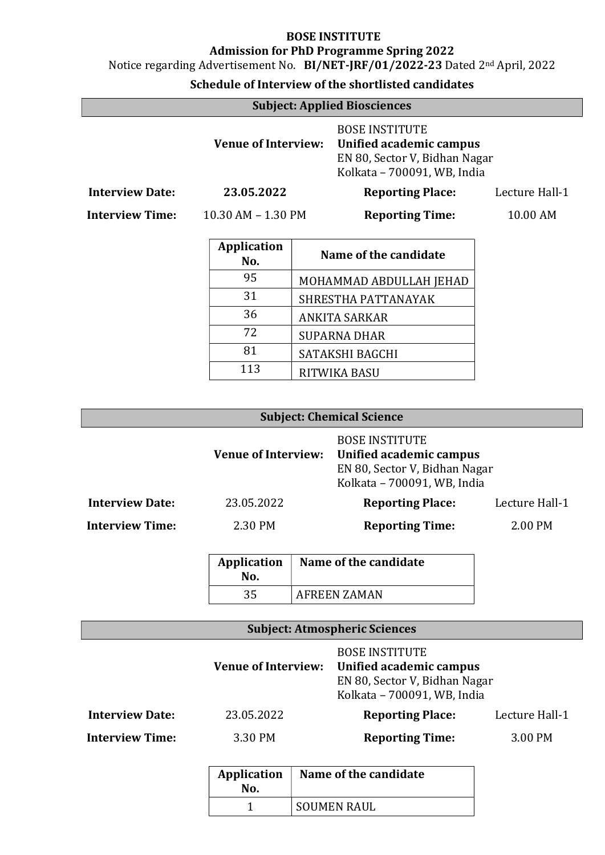Notice regarding Advertisement No. BI/NET-JRF/01/2022-23 Dated 2nd April, 2022

| <b>Subject: Applied Biosciences</b> |                            |                        |                                                                                                                  |                |
|-------------------------------------|----------------------------|------------------------|------------------------------------------------------------------------------------------------------------------|----------------|
|                                     | <b>Venue of Interview:</b> |                        | <b>BOSE INSTITUTE</b><br>Unified academic campus<br>EN 80, Sector V, Bidhan Nagar<br>Kolkata - 700091, WB, India |                |
| <b>Interview Date:</b>              | 23.05.2022                 |                        | <b>Reporting Place:</b>                                                                                          | Lecture Hall-1 |
| <b>Interview Time:</b>              | $10.30$ AM $- 1.30$ PM     | <b>Reporting Time:</b> |                                                                                                                  | 10.00 AM       |
|                                     | <b>Application</b><br>No.  |                        | Name of the candidate                                                                                            |                |
|                                     | 95                         |                        | MOHAMMAD ABDULLAH JEHAD                                                                                          |                |
|                                     | 31                         |                        | SHRESTHA PATTANAYAK                                                                                              |                |
|                                     | 36                         |                        | ANKITA SARKAR                                                                                                    |                |
|                                     | 72                         |                        | <b>SUPARNA DHAR</b>                                                                                              |                |
|                                     | 81                         |                        | SATAKSHI BAGCHI                                                                                                  |                |
|                                     | 113                        |                        | RITWIKA BASU                                                                                                     |                |

| <b>Subject: Chemical Science</b> |                            |                                                                                                                  |                |
|----------------------------------|----------------------------|------------------------------------------------------------------------------------------------------------------|----------------|
|                                  | <b>Venue of Interview:</b> | <b>BOSE INSTITUTE</b><br>Unified academic campus<br>EN 80, Sector V, Bidhan Nagar<br>Kolkata - 700091, WB, India |                |
| <b>Interview Date:</b>           | 23.05.2022                 | <b>Reporting Place:</b>                                                                                          | Lecture Hall-1 |
| <b>Interview Time:</b>           | 2.30 PM                    | <b>Reporting Time:</b>                                                                                           | 2.00 PM        |

| Application<br>No. | Name of the candidate |
|--------------------|-----------------------|
|                    | AFREEN ZAMAN          |

|                        | <b>Venue of Interview:</b> | <b>BOSE INSTITUTE</b><br>Unified academic campus<br>EN 80, Sector V, Bidhan Nagar<br>Kolkata - 700091, WB, India |                |
|------------------------|----------------------------|------------------------------------------------------------------------------------------------------------------|----------------|
| <b>Interview Date:</b> | 23.05.2022                 | <b>Reporting Place:</b>                                                                                          | Lecture Hall-1 |
| <b>Interview Time:</b> | 3.30 PM                    | <b>Reporting Time:</b>                                                                                           | 3.00 PM        |

| Application<br>No. | Name of the candidate |
|--------------------|-----------------------|
|                    | SOUMEN RAUL           |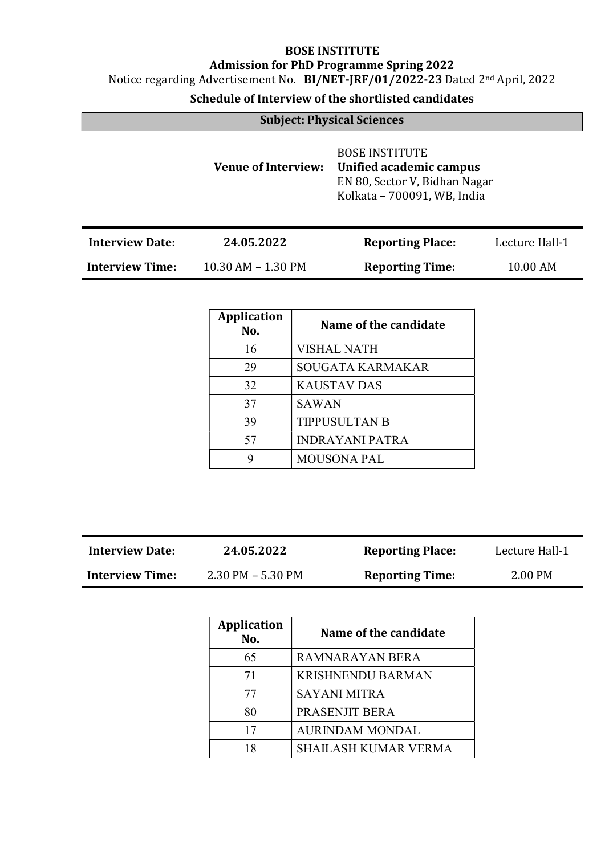Notice regarding Advertisement No. BI/NET-JRF/01/2022-23 Dated 2nd April, 2022

| <b>Subject: Physical Sciences</b> |                            |                                                                                                                  |                |  |
|-----------------------------------|----------------------------|------------------------------------------------------------------------------------------------------------------|----------------|--|
|                                   | <b>Venue of Interview:</b> | <b>BOSE INSTITUTE</b><br>Unified academic campus<br>EN 80, Sector V, Bidhan Nagar<br>Kolkata - 700091, WB, India |                |  |
| <b>Interview Date:</b>            | 24.05.2022                 | <b>Reporting Place:</b>                                                                                          | Lecture Hall-1 |  |
| <b>Interview Time:</b>            | $10.30$ AM $- 1.30$ PM     | <b>Reporting Time:</b>                                                                                           | 10.00 AM       |  |

| <b>Application</b><br>No. | Name of the candidate   |
|---------------------------|-------------------------|
| 16                        | <b>VISHAL NATH</b>      |
| 29                        | <b>SOUGATA KARMAKAR</b> |
| 32                        | <b>KAUSTAV DAS</b>      |
| 37                        | <b>SAWAN</b>            |
| 39                        | <b>TIPPUSULTAN B</b>    |
| 57                        | <b>INDRAYANI PATRA</b>  |
| 9                         | <b>MOUSONA PAL</b>      |

| <b>Interview Date:</b> | 24.05.2022        | <b>Reporting Place:</b> | Lecture Hall-1 |
|------------------------|-------------------|-------------------------|----------------|
| <b>Interview Time:</b> | 2.30 PM - 5.30 PM | <b>Reporting Time:</b>  | 2.00 PM        |

| <b>Application</b><br>No. | Name of the candidate       |
|---------------------------|-----------------------------|
| 65                        | <b>RAMNARAYAN BERA</b>      |
| 71                        | <b>KRISHNENDU BARMAN</b>    |
| 77                        | SAYANI MITRA                |
| 80                        | PRASENJIT BERA              |
| 17                        | <b>AURINDAM MONDAL</b>      |
| 18                        | <b>SHAILASH KUMAR VERMA</b> |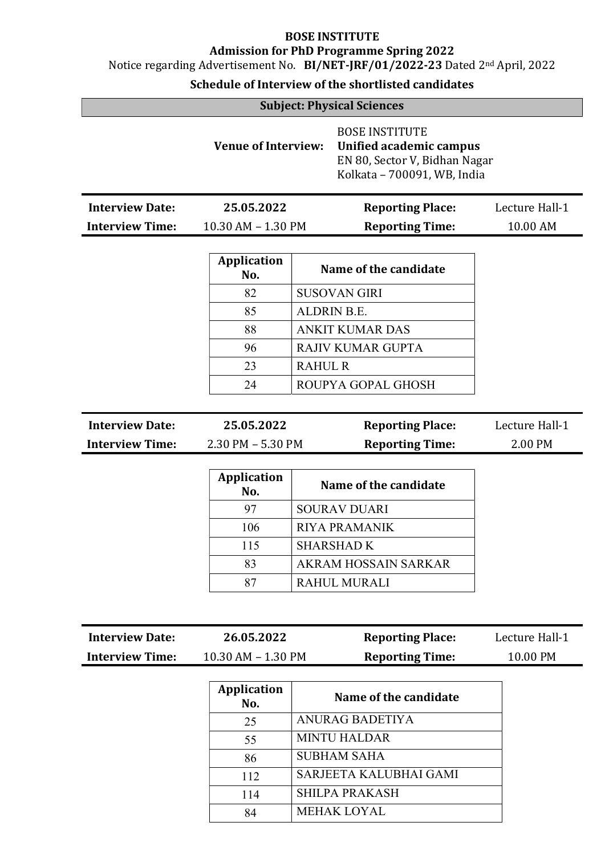Notice regarding Advertisement No. BI/NET-JRF/01/2022-23 Dated 2nd April, 2022

| <b>Subject: Physical Sciences</b> |  |  |  |  |
|-----------------------------------|--|--|--|--|
|-----------------------------------|--|--|--|--|

|                        | <b>Venue of Interview:</b> | <b>BOSE INSTITUTE</b><br>Unified academic campus<br>EN 80, Sector V, Bidhan Nagar<br>Kolkata - 700091, WB, India |                |  |
|------------------------|----------------------------|------------------------------------------------------------------------------------------------------------------|----------------|--|
| <b>Interview Date:</b> | 25.05.2022                 | <b>Reporting Place:</b>                                                                                          | Lecture Hall-1 |  |
| <b>Interview Time:</b> | 10.30 AM - 1.30 PM         | <b>Reporting Time:</b>                                                                                           | 10.00 AM       |  |

| <b>Application</b><br>No. | Name of the candidate    |
|---------------------------|--------------------------|
| 82                        | <b>SUSOVAN GIRI</b>      |
| 85                        | <b>ALDRIN B.E.</b>       |
| 88                        | <b>ANKIT KUMAR DAS</b>   |
| 96                        | <b>RAJIV KUMAR GUPTA</b> |
| 23                        | <b>RAHUL R</b>           |
| 24                        | ROUPYA GOPAL GHOSH       |

| <b>Interview Date:</b> | 25.05.2022            | <b>Reporting Place:</b> | Lecture Hall-1 |
|------------------------|-----------------------|-------------------------|----------------|
| <b>Interview Time:</b> | $2.30$ PM $-$ 5.30 PM | <b>Reporting Time:</b>  | 2.00 PM        |

| <b>Application</b><br>No. | Name of the candidate |
|---------------------------|-----------------------|
| 97                        | <b>SOURAV DUARI</b>   |
| 106                       | <b>RIYA PRAMANIK</b>  |
| 115                       | <b>SHARSHAD K</b>     |
| 83                        | AKRAM HOSSAIN SARKAR  |
| 87                        | <b>RAHUL MURALI</b>   |

| <b>Interview Date:</b> | 26.05.2022         | <b>Reporting Place:</b> | Lecture Hall-1 |
|------------------------|--------------------|-------------------------|----------------|
| <b>Interview Time:</b> | 10.30 AM - 1.30 PM | <b>Reporting Time:</b>  | 10.00 PM       |

| <b>Application</b><br>No. | Name of the candidate  |
|---------------------------|------------------------|
| 25                        | ANURAG BADETIYA        |
| 55                        | <b>MINTU HALDAR</b>    |
| 86                        | <b>SUBHAM SAHA</b>     |
| 112                       | SARJEETA KALUBHAI GAMI |
| 114                       | <b>SHILPA PRAKASH</b>  |
| 84                        | <b>MEHAK LOYAL</b>     |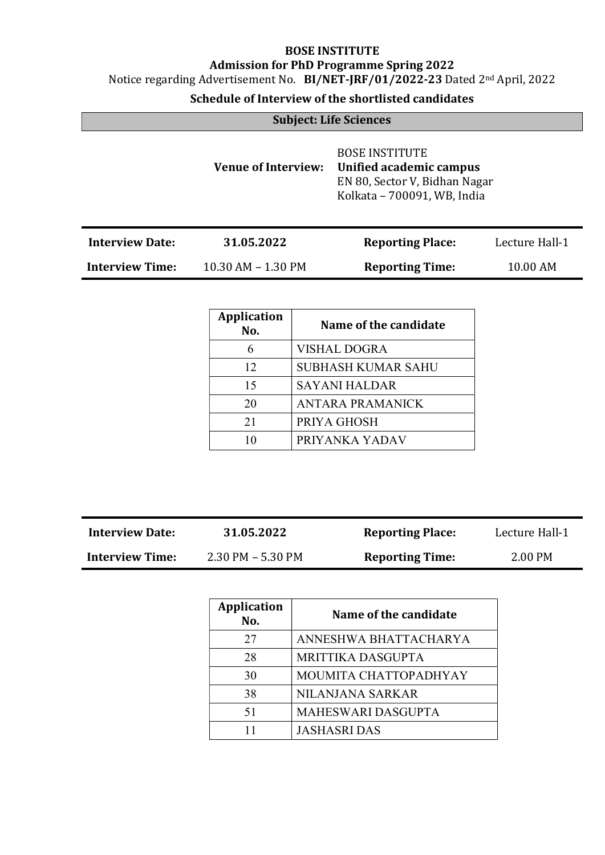Notice regarding Advertisement No. BI/NET-JRF/01/2022-23 Dated 2nd April, 2022

| <b>Subject: Life Sciences</b> |                            |                                                                                                                  |                |
|-------------------------------|----------------------------|------------------------------------------------------------------------------------------------------------------|----------------|
|                               | <b>Venue of Interview:</b> | <b>BOSE INSTITUTE</b><br>Unified academic campus<br>EN 80, Sector V, Bidhan Nagar<br>Kolkata - 700091, WB, India |                |
| <b>Interview Date:</b>        | 31.05.2022                 | <b>Reporting Place:</b>                                                                                          | Lecture Hall-1 |
| <b>Interview Time:</b>        | 10.30 AM - 1.30 PM         | <b>Reporting Time:</b>                                                                                           | 10.00 AM       |

| <b>Application</b><br>No. | Name of the candidate     |
|---------------------------|---------------------------|
| 6                         | <b>VISHAL DOGRA</b>       |
| 12                        | <b>SUBHASH KUMAR SAHU</b> |
| 15                        | <b>SAYANI HALDAR</b>      |
| 20                        | <b>ANTARA PRAMANICK</b>   |
| 21                        | PRIYA GHOSH               |
| 10                        | PRIYANKA YADAV            |

| <b>Interview Date:</b> | 31.05.2022        | <b>Reporting Place:</b> | Lecture Hall-1 |
|------------------------|-------------------|-------------------------|----------------|
| <b>Interview Time:</b> | 2.30 PM – 5.30 PM | <b>Reporting Time:</b>  | 2.00 PM        |

| <b>Application</b><br>No. | Name of the candidate     |
|---------------------------|---------------------------|
| 27                        | ANNESHWA BHATTACHARYA     |
| 28                        | <b>MRITTIKA DASGUPTA</b>  |
| 30                        | MOUMITA CHATTOPADHYAY     |
| 38                        | NILANJANA SARKAR          |
| 51                        | <b>MAHESWARI DASGUPTA</b> |
| 11                        | <b>JASHASRI DAS</b>       |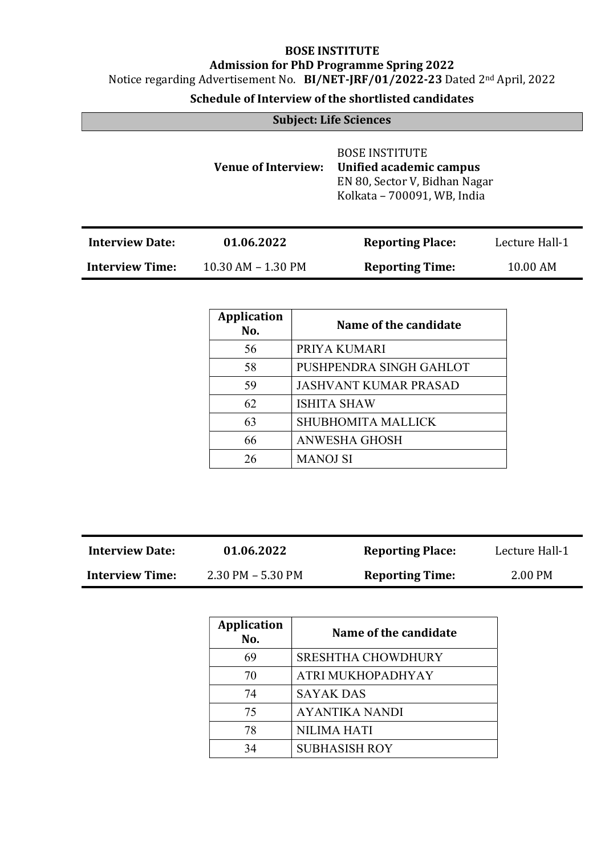Notice regarding Advertisement No. BI/NET-JRF/01/2022-23 Dated 2nd April, 2022

| <b>Subject: Life Sciences</b> |                            |                                                                                                                  |                |
|-------------------------------|----------------------------|------------------------------------------------------------------------------------------------------------------|----------------|
|                               | <b>Venue of Interview:</b> | <b>BOSE INSTITUTE</b><br>Unified academic campus<br>EN 80, Sector V, Bidhan Nagar<br>Kolkata - 700091, WB, India |                |
| <b>Interview Date:</b>        | 01.06.2022                 | <b>Reporting Place:</b>                                                                                          | Lecture Hall-1 |
| <b>Interview Time:</b>        | $10.30$ AM $- 1.30$ PM     | <b>Reporting Time:</b>                                                                                           | 10.00 AM       |

| Application<br>No. | Name of the candidate        |
|--------------------|------------------------------|
| 56                 | PRIYA KUMARI                 |
| 58                 | PUSHPENDRA SINGH GAHLOT      |
| 59                 | <b>JASHVANT KUMAR PRASAD</b> |
| 62                 | <b>ISHITA SHAW</b>           |
| 63                 | <b>SHUBHOMITA MALLICK</b>    |
| 66                 | <b>ANWESHA GHOSH</b>         |
| 26                 | <b>MANOJ SI</b>              |

| <b>Interview Date:</b> | 01.06.2022           | <b>Reporting Place:</b> | Lecture Hall-1 |
|------------------------|----------------------|-------------------------|----------------|
| <b>Interview Time:</b> | $2.30$ PM $-5.30$ PM | <b>Reporting Time:</b>  | 2.00 PM        |

| <b>Application</b><br>No. | Name of the candidate     |
|---------------------------|---------------------------|
| 69                        | <b>SRESHTHA CHOWDHURY</b> |
| 70                        | ATRI MUKHOPADHYAY         |
| 74                        | <b>SAYAK DAS</b>          |
| 75                        | <b>AYANTIKA NANDI</b>     |
| 78                        | <b>NILIMA HATI</b>        |
| 34                        | <b>SUBHASISH ROY</b>      |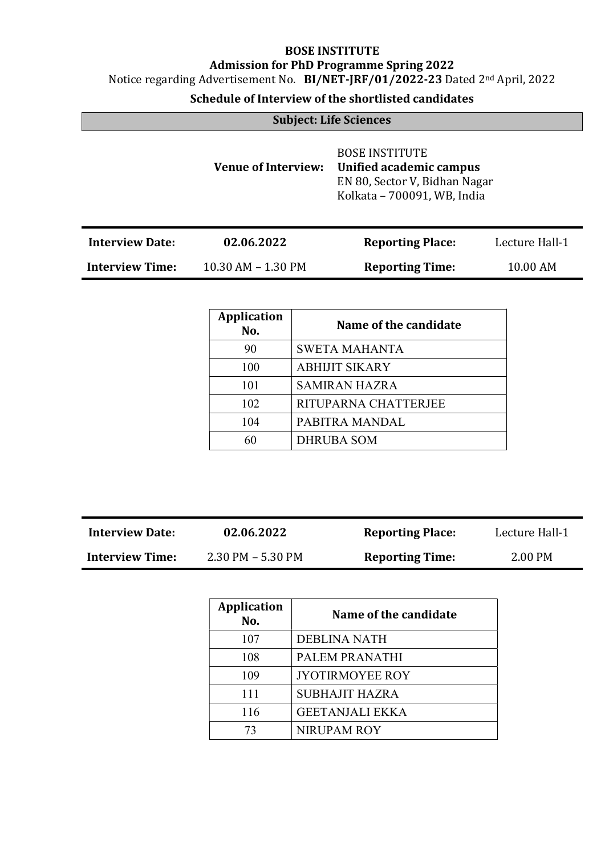Notice regarding Advertisement No. BI/NET-JRF/01/2022-23 Dated 2nd April, 2022

| <b>Subject: Life Sciences</b> |                            |                                                                                                                  |                |
|-------------------------------|----------------------------|------------------------------------------------------------------------------------------------------------------|----------------|
|                               | <b>Venue of Interview:</b> | <b>BOSE INSTITUTE</b><br>Unified academic campus<br>EN 80, Sector V, Bidhan Nagar<br>Kolkata - 700091, WB, India |                |
| <b>Interview Date:</b>        | 02.06.2022                 | <b>Reporting Place:</b>                                                                                          | Lecture Hall-1 |
| <b>Interview Time:</b>        | $10.30$ AM $- 1.30$ PM     | <b>Reporting Time:</b>                                                                                           | 10.00 AM       |

| <b>Application</b><br>No. | Name of the candidate |
|---------------------------|-----------------------|
| 90                        | <b>SWETA MAHANTA</b>  |
| 100                       | <b>ABHIJIT SIKARY</b> |
| 101                       | <b>SAMIRAN HAZRA</b>  |
| 102                       | RITUPARNA CHATTERJEE  |
| 104                       | PABITRA MANDAL        |
| 60                        | <b>DHRUBA SOM</b>     |

| <b>Interview Date:</b> | 02.06.2022           | <b>Reporting Place:</b> | Lecture Hall-1 |
|------------------------|----------------------|-------------------------|----------------|
| <b>Interview Time:</b> | $2.30$ PM $-5.30$ PM | <b>Reporting Time:</b>  | 2.00 PM        |

| <b>Application</b><br>No. | Name of the candidate  |
|---------------------------|------------------------|
| 107                       | <b>DEBLINA NATH</b>    |
| 108                       | PALEM PRANATHI         |
| 109                       | <b>JYOTIRMOYEE ROY</b> |
| 111                       | <b>SUBHAJIT HAZRA</b>  |
| 116                       | <b>GEETANJALI EKKA</b> |
| 73                        | <b>NIRUPAM ROY</b>     |